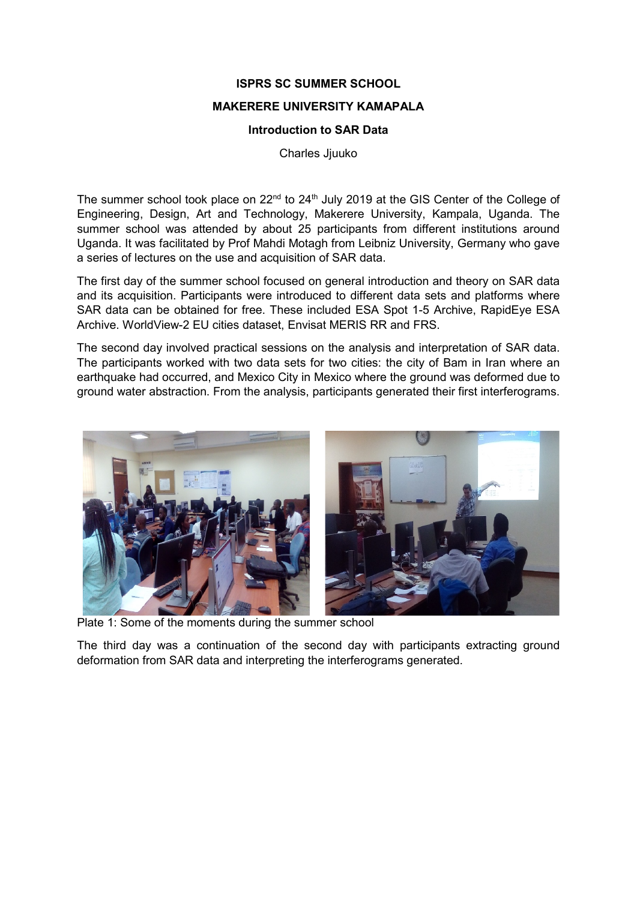## **ISPRS SC SUMMER SCHOOL**

## **MAKERERE UNIVERSITY KAMAPALA**

## **Introduction to SAR Data**

Charles Jjuuko

The summer school took place on 22<sup>nd</sup> to 24<sup>th</sup> July 2019 at the GIS Center of the College of Engineering, Design, Art and Technology, Makerere University, Kampala, Uganda. The summer school was attended by about 25 participants from different institutions around Uganda. It was facilitated by Prof Mahdi Motagh from Leibniz University, Germany who gave a series of lectures on the use and acquisition of SAR data.

The first day of the summer school focused on general introduction and theory on SAR data and its acquisition. Participants were introduced to different data sets and platforms where SAR data can be obtained for free. These included ESA Spot 1-5 Archive, RapidEye ESA Archive. WorldView-2 EU cities dataset, Envisat MERIS RR and FRS.

The second day involved practical sessions on the analysis and interpretation of SAR data. The participants worked with two data sets for two cities: the city of Bam in Iran where an earthquake had occurred, and Mexico City in Mexico where the ground was deformed due to ground water abstraction. From the analysis, participants generated their first interferograms.



Plate 1: Some of the moments during the summer school

The third day was a continuation of the second day with participants extracting ground deformation from SAR data and interpreting the interferograms generated.